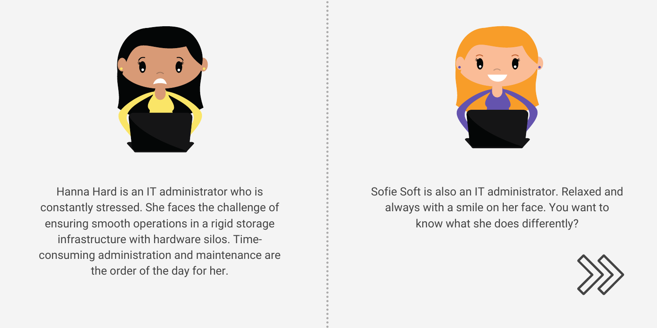

Hanna Hard is an IT administrator who is constantly stressed. She faces the challenge of ensuring smooth operations in a rigid storage infrastructure with hardware silos. Timeconsuming administration and maintenance are the order of the day for her.



Sofie Soft is also an IT administrator. Relaxed and always with a smile on her face. You want to know what she does differently?

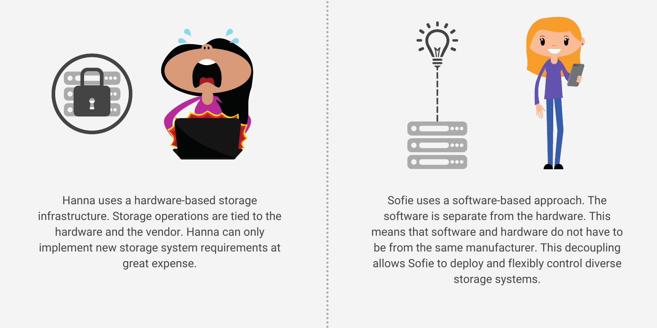Sofie uses a software-based approach. The software is separate from the hardware. This means that software and hardware do not have to be from the same manufacturer. This decoupling allows Sofie to deploy and flexibly control diverse storage systems.





Hanna uses a hardware-based storage infrastructure. Storage operations are tied to the hardware and the vendor. Hanna can only implement new storage system requirements at great expense.

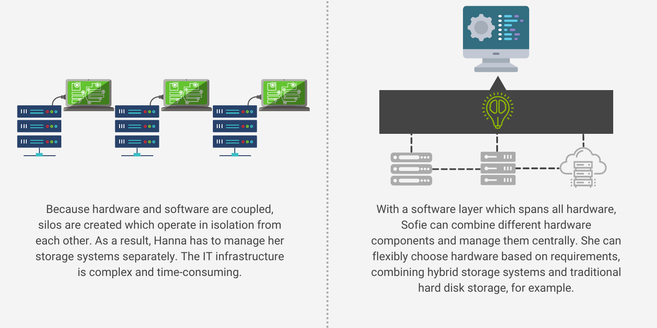With a software layer which spans all hardware, Sofie can combine different hardware components and manage them centrally. She can flexibly choose hardware based on requirements, combining hybrid storage systems and traditional hard disk storage, for example.



Because hardware and software are coupled, silos are created which operate in isolation from each other. As a result, Hanna has to manage her storage systems separately. The IT infrastructure is complex and time-consuming.

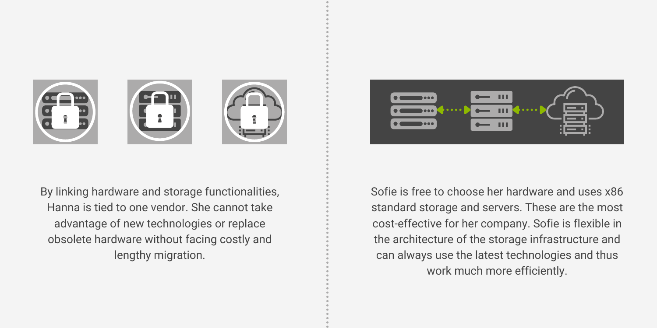Sofie is free to choose her hardware and uses x86 standard storage and servers. These are the most cost-effective for her company. Sofie is flexible in the architecture of the storage infrastructure and can always use the latest technologies and thus work much more efficiently.









By linking hardware and storage functionalities, Hanna is tied to one vendor. She cannot take advantage of new technologies or replace obsolete hardware without facing costly and lengthy migration.

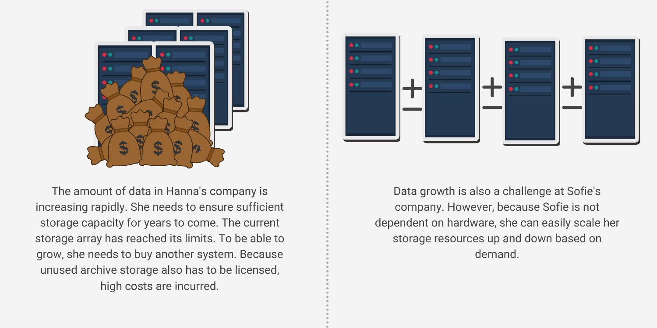Data growth is also a challenge at Sofie's company. However, because Sofie is not dependent on hardware, she can easily scale her storage resources up and down based on demand.



The amount of data in Hanna's company is increasing rapidly. She needs to ensure sufficient storage capacity for years to come. The current storage array has reached its limits. To be able to grow, she needs to buy another system. Because unused archive storage also has to be licensed, high costs are incurred.

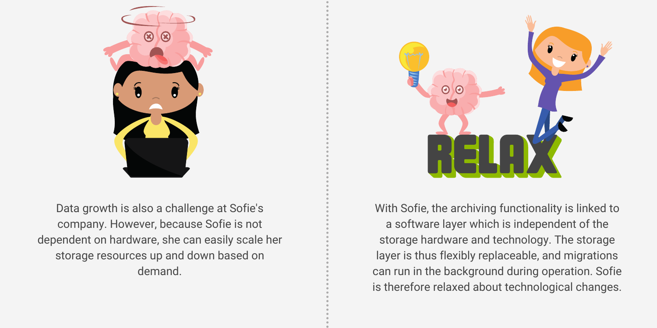With Sofie, the archiving functionality is linked to a software layer which is independent of the storage hardware and technology. The storage layer is thus flexibly replaceable, and migrations can run in the background during operation. Sofie is therefore relaxed about technological changes.





Data growth is also a challenge at Sofie's company. However, because Sofie is not dependent on hardware, she can easily scale her storage resources up and down based on demand.